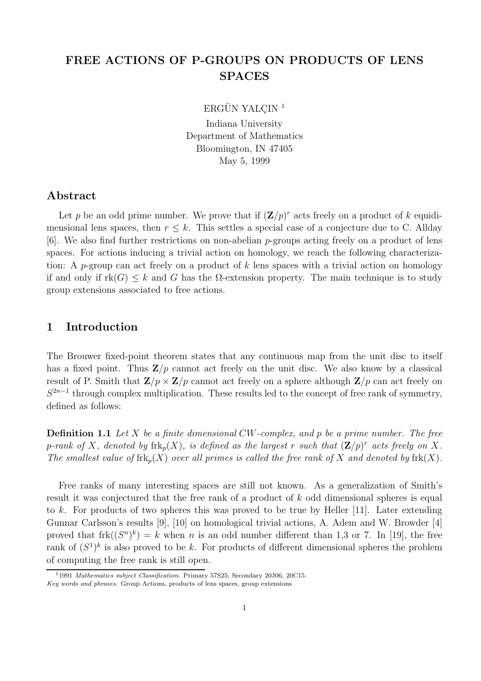# FREE ACTIONS OF P-GROUPS ON PRODUCTS OF LENS SPACES

ERGÜN YALÇIN<sup>1</sup>

Indiana University Department of Mathematics Bloomington, IN 47405 May 5, 1999

#### Abstract

Let p be an odd prime number. We prove that if  $(\mathbf{Z}/p)^r$  acts freely on a product of k equidimensional lens spaces, then  $r \leq k$ . This settles a special case of a conjecture due to C. Allday  $[6]$ . We also find further restrictions on non-abelian p-groups acting freely on a product of lens spaces. For actions inducing a trivial action on homology, we reach the following characterization: A p-group can act freely on a product of k lens spaces with a trivial action on homology if and only if  $rk(G) \leq k$  and G has the  $\Omega$ -extension property. The main technique is to study group extensions associated to free actions.

## 1 Introduction

The Brouwer fixed-point theorem states that any continuous map from the unit disc to itself has a fixed point. Thus  $\mathbf{Z}/p$  cannot act freely on the unit disc. We also know by a classical result of P. Smith that  $\mathbf{Z}/p \times \mathbf{Z}/p$  cannot act freely on a sphere although  $\mathbf{Z}/p$  can act freely on  $S^{2n-1}$  through complex multiplication. These results led to the concept of free rank of symmetry, defined as follows:

**Definition 1.1** Let X be a finite dimensional CW-complex, and p be a prime number. The free p-rank of X, denoted by  $\mathrm{frk}_p(X)$ , is defined as the largest r such that  $(\mathbf{Z}/p)^r$  acts freely on X. The smallest value of  $frk_p(X)$  over all primes is called the free rank of X and denoted by  $frk(X)$ .

Free ranks of many interesting spaces are still not known. As a generalization of Smith's result it was conjectured that the free rank of a product of k odd dimensional spheres is equal to k. For products of two spheres this was proved to be true by Heller  $[11]$ . Later extending Gunnar Carlsson's results [9], [10] on homological trivial actions, A. Adem and W. Browder [4] proved that  $frk((S^n)^k) = k$  when n is an odd number different than 1,3 or 7. In [19], the free rank of  $(S^1)^k$  is also proved to be k. For products of different dimensional spheres the problem of computing the free rank is still open.

<sup>1</sup>1991 Mathematics subject Classification. Primary 57S25; Secondary 20J06, 20C15.

Key words and phrases. Group Actions, products of lens spaces, group extensions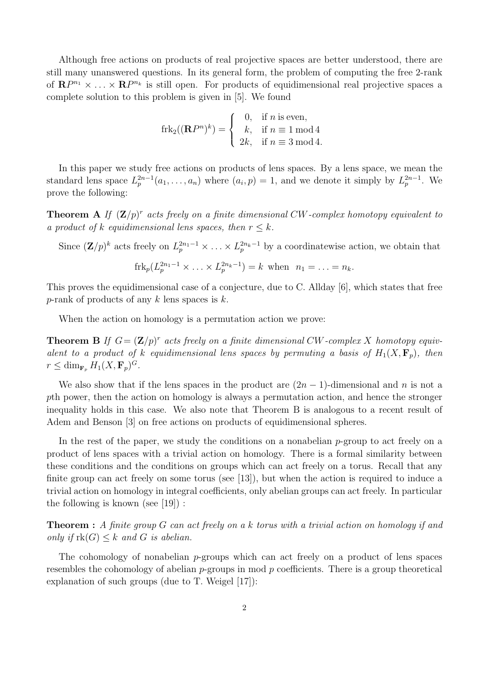Although free actions on products of real projective spaces are better understood, there are still many unanswered questions. In its general form, the problem of computing the free 2-rank of  $\mathbf{R}P^{n_1} \times \ldots \times \mathbf{R}P^{n_k}$  is still open. For products of equidimensional real projective spaces a complete solution to this problem is given in [5]. We found

$$
frk_2((\mathbf{R}P^n)^k) = \begin{cases} 0, & \text{if } n \text{ is even,} \\ k, & \text{if } n \equiv 1 \bmod 4 \\ 2k, & \text{if } n \equiv 3 \bmod 4. \end{cases}
$$

In this paper we study free actions on products of lens spaces. By a lens space, we mean the standard lens space  $L_p^{2n-1}(a_1,\ldots,a_n)$  where  $(a_i,p)=1$ , and we denote it simply by  $L_p^{2n-1}$ . We prove the following:

**Theorem A** If  $(\mathbf{Z}/p)^r$  acts freely on a finite dimensional CW-complex homotopy equivalent to a product of k equidimensional lens spaces, then  $r \leq k$ .

Since  $(\mathbf{Z}/p)^k$  acts freely on  $L_p^{2n_1-1} \times \ldots \times L_p^{2n_k-1}$  by a coordinatewise action, we obtain that

$$
frk_p(L_p^{2n_1-1} \times \ldots \times L_p^{2n_k-1}) = k \text{ when } n_1 = \ldots = n_k.
$$

This proves the equidimensional case of a conjecture, due to C. Allday [6], which states that free p-rank of products of any k lens spaces is  $k$ .

When the action on homology is a permutation action we prove:

**Theorem B** If  $G = (\mathbf{Z}/p)^r$  acts freely on a finite dimensional CW-complex X homotopy equivalent to a product of k equidimensional lens spaces by permuting a basis of  $H_1(X, \mathbf{F}_p)$ , then  $r \leq \dim_{\mathbf{F}_p} H_1(X, \mathbf{F}_p)^G.$ 

We also show that if the lens spaces in the product are  $(2n - 1)$ -dimensional and n is not a pth power, then the action on homology is always a permutation action, and hence the stronger inequality holds in this case. We also note that Theorem B is analogous to a recent result of Adem and Benson [3] on free actions on products of equidimensional spheres.

In the rest of the paper, we study the conditions on a nonabelian  $p$ -group to act freely on a product of lens spaces with a trivial action on homology. There is a formal similarity between these conditions and the conditions on groups which can act freely on a torus. Recall that any finite group can act freely on some torus (see [13]), but when the action is required to induce a trivial action on homology in integral coefficients, only abelian groups can act freely. In particular the following is known (see [19]) :

Theorem : A finite group G can act freely on a k torus with a trivial action on homology if and only if  $rk(G) \leq k$  and G is abelian.

The cohomology of nonabelian  $p$ -groups which can act freely on a product of lens spaces resembles the cohomology of abelian  $p$ -groups in mod  $p$  coefficients. There is a group theoretical explanation of such groups (due to T. Weigel [17]):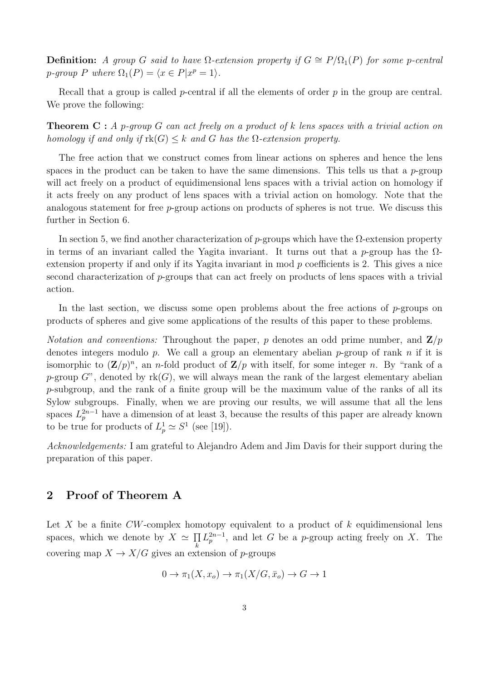**Definition:** A group G said to have  $\Omega$ -extension property if  $G \cong P/\Omega_1(P)$  for some p-central p-group P where  $\Omega_1(P) = \langle x \in P | x^p = 1 \rangle$ .

Recall that a group is called  $p$ -central if all the elements of order  $p$  in the group are central. We prove the following:

**Theorem C**: A p-group G can act freely on a product of k lens spaces with a trivial action on homology if and only if  $rk(G) \leq k$  and G has the  $\Omega$ -extension property.

The free action that we construct comes from linear actions on spheres and hence the lens spaces in the product can be taken to have the same dimensions. This tells us that a p-group will act freely on a product of equidimensional lens spaces with a trivial action on homology if it acts freely on any product of lens spaces with a trivial action on homology. Note that the analogous statement for free p-group actions on products of spheres is not true. We discuss this further in Section 6.

In section 5, we find another characterization of p-groups which have the Ω-extension property in terms of an invariant called the Yagita invariant. It turns out that a p-group has the  $\Omega$ extension property if and only if its Yagita invariant in mod  $p$  coefficients is 2. This gives a nice second characterization of p-groups that can act freely on products of lens spaces with a trivial action.

In the last section, we discuss some open problems about the free actions of  $p$ -groups on products of spheres and give some applications of the results of this paper to these problems.

*Notation and conventions:* Throughout the paper, p denotes an odd prime number, and  $\mathbf{Z}/p$ denotes integers modulo p. We call a group an elementary abelian p-group of rank n if it is isomorphic to  $(\mathbf{Z}/p)^n$ , an *n*-fold product of  $\mathbf{Z}/p$  with itself, for some integer *n*. By "rank of a p-group  $G^{\prime\prime}$ , denoted by rk(G), we will always mean the rank of the largest elementary abelian p-subgroup, and the rank of a finite group will be the maximum value of the ranks of all its Sylow subgroups. Finally, when we are proving our results, we will assume that all the lens spaces  $L_p^{2n-1}$  have a dimension of at least 3, because the results of this paper are already known to be true for products of  $L_p^1 \simeq S^1$  (see [19]).

Acknowledgements: I am grateful to Alejandro Adem and Jim Davis for their support during the preparation of this paper.

## 2 Proof of Theorem A

Let X be a finite  $CW$ -complex homotopy equivalent to a product of  $k$  equidimensional lens spaces, which we denote by  $X \simeq \prod_k$ k  $L_p^{2n-1}$ , and let G be a p-group acting freely on X. The covering map  $X \to X/G$  gives an extension of p-groups

$$
0 \to \pi_1(X, x_o) \to \pi_1(X/G, \bar{x}_o) \to G \to 1
$$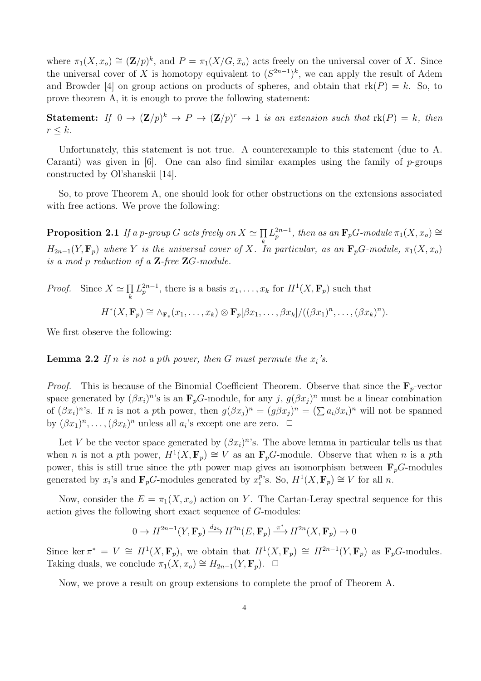where  $\pi_1(X, x_o) \cong (\mathbf{Z}/p)^k$ , and  $P = \pi_1(X/G, \bar{x}_o)$  acts freely on the universal cover of X. Since the universal cover of X is homotopy equivalent to  $(S^{2n-1})^k$ , we can apply the result of Adem and Browder [4] on group actions on products of spheres, and obtain that  $rk(P) = k$ . So, to prove theorem A, it is enough to prove the following statement:

**Statement:** If  $0 \to (\mathbf{Z}/p)^k \to P \to (\mathbf{Z}/p)^r \to 1$  is an extension such that  $\text{rk}(P) = k$ , then  $r \leq k$ .

Unfortunately, this statement is not true. A counterexample to this statement (due to A. Caranti) was given in [6]. One can also find similar examples using the family of  $p$ -groups constructed by Ol'shanskii [14].

So, to prove Theorem A, one should look for other obstructions on the extensions associated with free actions. We prove the following:

**Proposition 2.1** If a p-group G acts freely on  $X \simeq \prod_k L_p^{2n-1}$ , then as an  $\mathbf{F}_pG$ -module  $\pi_1(X, x_o) \cong$  $H_{2n-1}(Y, \mathbf{F}_p)$  where Y is the universal cover of X. In particular, as an  $\mathbf{F}_p$ G-module,  $\pi_1(X, x_o)$ is a mod p reduction of a  $\mathbb{Z}$ -free  $\mathbb{Z}$ G-module.

*Proof.* Since  $X \simeq \prod_k$ k  $L_p^{2n-1}$ , there is a basis  $x_1, \ldots, x_k$  for  $H^1(X, \mathbf{F}_p)$  such that

 $H^*(X, \mathbf{F}_p) \cong \wedge_{\mathbf{F}_p} (x_1, \ldots, x_k) \otimes \mathbf{F}_p[\beta x_1, \ldots, \beta x_k] / ((\beta x_1)^n, \ldots, (\beta x_k)^n).$ 

We first observe the following:

**Lemma 2.2** If n is not a pth power, then G must permute the  $x_i$ 's.

*Proof.* This is because of the Binomial Coefficient Theorem. Observe that since the  $\mathbf{F}_p$ -vector space generated by  $(\beta x_i)^n$ 's is an  $\mathbf{F}_pG$ -module, for any j,  $g(\beta x_j)^n$  must be a linear combination of  $(\beta x_i)^n$ 's. If n is not a pth power, then  $g(\beta x_j)^n = (g(\beta x_j)^n = (\sum a_i \beta x_i)^n$  will not be spanned by  $(\beta x_1)^n, \ldots, (\beta x_k)^n$  unless all  $a_i$ 's except one are zero.  $\Box$ 

Let V be the vector space generated by  $(\beta x_i)^n$ 's. The above lemma in particular tells us that when *n* is not a pth power,  $H^1(X, \mathbf{F}_p) \cong V$  as an  $\mathbf{F}_pG$ -module. Observe that when *n* is a pth power, this is still true since the pth power map gives an isomorphism between  $\mathbf{F}_p$ G-modules generated by  $x_i$ 's and  $\mathbf{F}_p$ G-modules generated by  $x_i^p$ <sup>p</sup>'s. So,  $H^1(X, \mathbf{F}_p) \cong V$  for all *n*.

Now, consider the  $E = \pi_1(X, x_o)$  action on Y. The Cartan-Leray spectral sequence for this action gives the following short exact sequence of G-modules:

$$
0 \to H^{2n-1}(Y, \mathbf{F}_p) \xrightarrow{d_{2n}} H^{2n}(E, \mathbf{F}_p) \xrightarrow{\pi^*} H^{2n}(X, \mathbf{F}_p) \to 0
$$

Since ker  $\pi^* = V \cong H^1(X, \mathbf{F}_p)$ , we obtain that  $H^1(X, \mathbf{F}_p) \cong H^{2n-1}(Y, \mathbf{F}_p)$  as  $\mathbf{F}_pG$ -modules. Taking duals, we conclude  $\pi_1(X, x_o) \cong H_{2n-1}(Y, \mathbf{F}_p)$ .  $\Box$ 

Now, we prove a result on group extensions to complete the proof of Theorem A.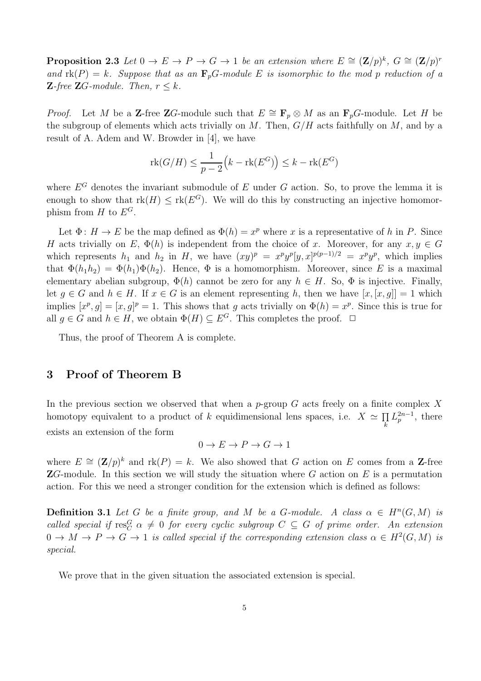**Proposition 2.3** Let  $0 \to E \to P \to G \to 1$  be an extension where  $E \cong (\mathbf{Z}/p)^k$ ,  $G \cong (\mathbf{Z}/p)^r$ and  $rk(P) = k$ . Suppose that as an  $\mathbf{F}_pG$ -module E is isomorphic to the mod p reduction of a **Z**-free **Z**G-module. Then,  $r \leq k$ .

*Proof.* Let M be a Z-free ZG-module such that  $E \cong \mathbf{F}_p \otimes M$  as an  $\mathbf{F}_p$ G-module. Let H be the subgroup of elements which acts trivially on M. Then,  $G/H$  acts faithfully on M, and by a result of A. Adem and W. Browder in [4], we have

$$
\operatorname{rk}(G/H) \le \frac{1}{p-2} (k - \operatorname{rk}(E^G)) \le k - \operatorname{rk}(E^G)
$$

where  $E^G$  denotes the invariant submodule of E under G action. So, to prove the lemma it is enough to show that  $rk(H) \leq rk(E^G)$ . We will do this by constructing an injective homomorphism from H to  $E^G$ .

Let  $\Phi: H \to E$  be the map defined as  $\Phi(h) = x^p$  where x is a representative of h in P. Since H acts trivially on E,  $\Phi(h)$  is independent from the choice of x. Moreover, for any  $x, y \in G$ which represents  $h_1$  and  $h_2$  in H, we have  $(xy)^p = x^p y^p [y, x]^{p(p-1)/2} = x^p y^p$ , which implies that  $\Phi(h_1h_2) = \Phi(h_1)\Phi(h_2)$ . Hence,  $\Phi$  is a homomorphism. Moreover, since E is a maximal elementary abelian subgroup,  $\Phi(h)$  cannot be zero for any  $h \in H$ . So,  $\Phi$  is injective. Finally, let  $g \in G$  and  $h \in H$ . If  $x \in G$  is an element representing h, then we have  $[x, [x, g]] = 1$  which implies  $[x^p, g] = [x, g]^p = 1$ . This shows that g acts trivially on  $\Phi(h) = x^p$ . Since this is true for all  $q \in G$  and  $h \in H$ , we obtain  $\Phi(H) \subseteq E^G$ . This completes the proof.  $\Box$ 

Thus, the proof of Theorem A is complete.

## 3 Proof of Theorem B

In the previous section we observed that when a p-group G acts freely on a finite complex X homotopy equivalent to a product of k equidimensional lens spaces, i.e.  $X \simeq \prod_k$ k  $L_p^{2n-1}$ , there exists an extension of the form

$$
0 \to E \to P \to G \to 1
$$

where  $E \cong (\mathbf{Z}/p)^k$  and  $\text{rk}(P) = k$ . We also showed that G action on E comes from a Z-free  $\mathbf{Z}G$ -module. In this section we will study the situation where G action on E is a permutation action. For this we need a stronger condition for the extension which is defined as follows:

**Definition 3.1** Let G be a finite group, and M be a G-module. A class  $\alpha \in H^n(G,M)$  is called special if  $\text{res}_C^G$   $\alpha \neq 0$  for every cyclic subgroup  $C \subseteq G$  of prime order. An extension  $0 \to M \to P \to G \to 1$  is called special if the corresponding extension class  $\alpha \in H^2(G,M)$  is special.

We prove that in the given situation the associated extension is special.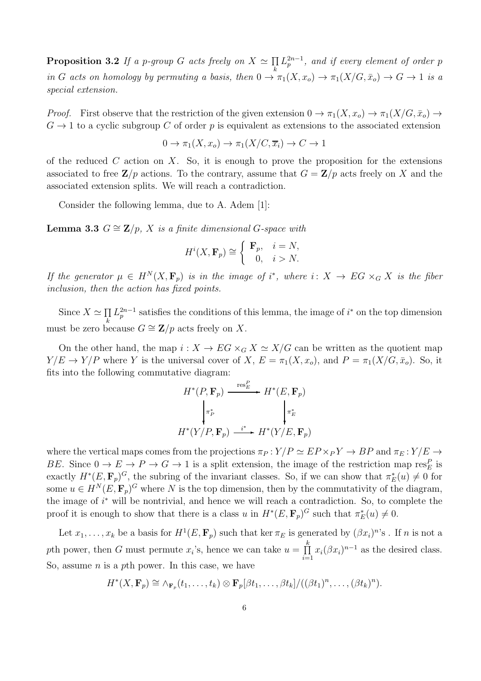**Proposition 3.2** If a p-group G acts freely on  $X \simeq \prod_k$ k  $L_p^{2n-1}$ , and if every element of order  $p$ in G acts on homology by permuting a basis, then  $0 \to \pi_1(X, x_o) \to \pi_1(X/G, \bar{x}_o) \to G \to 1$  is a special extension.

*Proof.* First observe that the restriction of the given extension  $0 \to \pi_1(X, x_o) \to \pi_1(X/G, \bar{x}_o) \to$  $G \to 1$  to a cyclic subgroup C of order p is equivalent as extensions to the associated extension

$$
0 \to \pi_1(X, x_o) \to \pi_1(X/C, \overline{x}_i) \to C \to 1
$$

of the reduced C action on X. So, it is enough to prove the proposition for the extensions associated to free  $\mathbf{Z}/p$  actions. To the contrary, assume that  $G = \mathbf{Z}/p$  acts freely on X and the associated extension splits. We will reach a contradiction.

Consider the following lemma, due to A. Adem [1]:

**Lemma 3.3**  $G \cong \mathbf{Z}/p$ , X is a finite dimensional G-space with

$$
H^{i}(X, \mathbf{F}_p) \cong \begin{cases} \mathbf{F}_p, & i = N, \\ 0, & i > N. \end{cases}
$$

If the generator  $\mu \in H^N(X, \mathbf{F}_p)$  is in the image of i<sup>\*</sup>, where i:  $X \to EG \times_G X$  is the fiber inclusion, then the action has fixed points.

Since  $X \simeq \prod_k$ k  $L_p^{2n-1}$  satisfies the conditions of this lemma, the image of  $i^*$  on the top dimension must be zero because  $G \cong \mathbf{Z}/p$  acts freely on X.

On the other hand, the map  $i: X \to EG \times_G X \simeq X/G$  can be written as the quotient map  $Y/E \to Y/P$  where Y is the universal cover of X,  $E = \pi_1(X, x_o)$ , and  $P = \pi_1(X/G, \bar{x}_o)$ . So, it fits into the following commutative diagram:

$$
H^*(P, \mathbf{F}_p) \xrightarrow{\operatorname{res}_E^P} H^*(E, \mathbf{F}_p)
$$

$$
\downarrow^{\pi_P^*} \qquad \qquad \downarrow^{\pi_E^*}
$$

$$
H^*(Y/P, \mathbf{F}_p) \xrightarrow{i^*} H^*(Y/E, \mathbf{F}_p)
$$

where the vertical maps comes from the projections  $\pi_P : Y/P \simeq EP \times_P Y \to BP$  and  $\pi_E : Y/E \to \pi$ BE. Since  $0 \to E \to P \to G \to 1$  is a split extension, the image of the restriction map res<sub>E</sub> is exactly  $H^*(E, \mathbf{F}_p)^G$ , the subring of the invariant classes. So, if we can show that  $\pi_E^*(u) \neq 0$  for some  $u \in H^N(E, \mathbf{F}_p)^G$  where N is the top dimension, then by the commutativity of the diagram, the image of  $i^*$  will be nontrivial, and hence we will reach a contradiction. So, to complete the proof it is enough to show that there is a class u in  $H^*(E, \mathbf{F}_p)^G$  such that  $\pi_E^*(u) \neq 0$ .

Let  $x_1, \ldots, x_k$  be a basis for  $H^1(E, \mathbf{F}_p)$  such that ker  $\pi_E$  is generated by  $(\beta x_i)^n$ 's. If n is not a pth power, then G must permute  $x_i$ 's, hence we can take  $u = \prod^k$  $\prod_{i=1}^{n} x_i (\beta x_i)^{n-1}$  as the desired class. So, assume  $n$  is a pth power. In this case, we have

$$
H^*(X,\mathbf{F}_p)\cong \wedge_{\mathbf{F}_p}(t_1,\ldots,t_k)\otimes \mathbf{F}_p[\beta t_1,\ldots,\beta t_k]/((\beta t_1)^n,\ldots,(\beta t_k)^n).
$$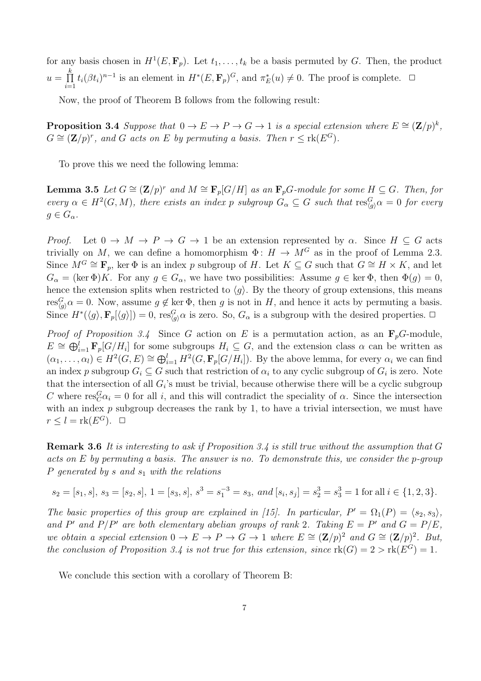for any basis chosen in  $H^1(E, \mathbf{F}_p)$ . Let  $t_1, \ldots, t_k$  be a basis permuted by G. Then, the product  $u = \prod^k$  $\prod_{i=1}^{k} t_i(\beta t_i)^{n-1}$  is an element in  $H^*(E, \mathbf{F}_p)^G$ , and  $\pi_E^*(u) \neq 0$ . The proof is complete.  $\Box$ 

Now, the proof of Theorem B follows from the following result:

**Proposition 3.4** Suppose that  $0 \to E \to P \to G \to 1$  is a special extension where  $E \cong (\mathbf{Z}/p)^k$ ,  $G \cong (\mathbf{Z}/p)^r$ , and G acts on E by permuting a basis. Then  $r \leq \text{rk}(E^G)$ .

To prove this we need the following lemma:

**Lemma 3.5** Let  $G \cong (\mathbf{Z}/p)^r$  and  $M \cong \mathbf{F}_p[G/H]$  as an  $\mathbf{F}_pG$ -module for some  $H \subseteq G$ . Then, for every  $\alpha \in H^2(G,M)$ , there exists an index p subgroup  $G_{\alpha} \subseteq G$  such that  $\text{res}_{\langle g \rangle}^G \alpha = 0$  for every  $g \in G_{\alpha}$ .

*Proof.* Let  $0 \to M \to P \to G \to 1$  be an extension represented by  $\alpha$ . Since  $H \subseteq G$  acts trivially on M, we can define a homomorphism  $\Phi: H \to M^G$  as in the proof of Lemma 2.3. Since  $M^G \cong \mathbf{F}_p$ , ker  $\Phi$  is an index p subgroup of H. Let  $K \subseteq G$  such that  $G \cong H \times K$ , and let  $G_{\alpha} = (\ker \Phi)K$ . For any  $g \in G_{\alpha}$ , we have two possibilities: Assume  $g \in \ker \Phi$ , then  $\Phi(g) = 0$ , hence the extension splits when restricted to  $\langle g \rangle$ . By the theory of group extensions, this means  $res_{\langle g \rangle}^G \alpha = 0$ . Now, assume  $g \notin \text{ker } \Phi$ , then g is not in H, and hence it acts by permuting a basis. Since  $H^*(\langle g \rangle, \mathbf{F}_p[\langle g \rangle]) = 0$ , res ${}_{\langle g \rangle}^G \alpha$  is zero. So,  $G_\alpha$  is a subgroup with the desired properties.  $\Box$ 

*Proof of Proposition 3.4* Since G action on E is a permutation action, as an  $\mathbf{F}_p$ G-module,  $E \cong \bigoplus_{i=1}^l \mathbf{F}_p[G/H_i]$  for some subgroups  $H_i \subseteq G$ , and the extension class  $\alpha$  can be written as  $(\alpha_1,\ldots,\alpha_l)\in H^2(G,E)\cong \bigoplus_{i=1}^l H^2(G,\mathbf{F}_p[G/H_i]).$  By the above lemma, for every  $\alpha_i$  we can find an index p subgroup  $G_i \subseteq G$  such that restriction of  $\alpha_i$  to any cyclic subgroup of  $G_i$  is zero. Note that the intersection of all  $G_i$ 's must be trivial, because otherwise there will be a cyclic subgroup C where  $res_C^G \alpha_i = 0$  for all i, and this will contradict the speciality of  $\alpha$ . Since the intersection with an index  $p$  subgroup decreases the rank by 1, to have a trivial intersection, we must have  $r \leq l = \text{rk}(E^G)$ .  $\Box$ 

**Remark 3.6** It is interesting to ask if Proposition 3.4 is still true without the assumption that  $G$ acts on E by permuting a basis. The answer is no. To demonstrate this, we consider the p-group P generated by s and  $s_1$  with the relations

$$
s_2 = [s_1, s], s_3 = [s_2, s], 1 = [s_3, s], s^3 = s_1^{-3} = s_3, \text{ and } [s_i, s_j] = s_2^3 = s_3^3 = 1 \text{ for all } i \in \{1, 2, 3\}.
$$

The basic properties of this group are explained in [15]. In particular,  $P' = \Omega_1(P) = \langle s_2, s_3 \rangle$ , and P' and P/P' are both elementary abelian groups of rank 2. Taking  $E = P'$  and  $G = P/E$ , we obtain a special extension  $0 \to E \to P \to G \to 1$  where  $E \cong (\mathbf{Z}/p)^2$  and  $G \cong (\mathbf{Z}/p)^2$ . But, the conclusion of Proposition 3.4 is not true for this extension, since  $\text{rk}(G) = 2 > \text{rk}(E^G) = 1$ .

We conclude this section with a corollary of Theorem B: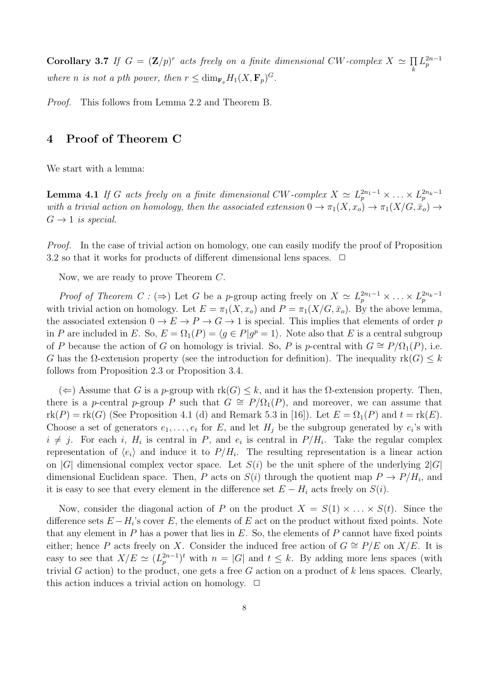**Corollary 3.7** If  $G = (\mathbf{Z}/p)^r$  acts freely on a finite dimensional CW-complex  $X \simeq \prod_k$ k  $L_p^{2n-1}$ where n is not a pth power, then  $r \leq \dim_{\mathbf{F}_p} H_1(X, \mathbf{F}_p)^G$ .

Proof. This follows from Lemma 2.2 and Theorem B.

## 4 Proof of Theorem C

We start with a lemma:

**Lemma 4.1** If G acts freely on a finite dimensional CW-complex  $X \simeq L_p^{2n_1-1} \times \ldots \times L_p^{2n_k-1}$ with a trivial action on homology, then the associated extension  $0 \to \pi_1(X, x_o) \to \pi_1(X/G, \bar{x}_o) \to$  $G \rightarrow 1$  is special.

Proof. In the case of trivial action on homology, one can easily modify the proof of Proposition 3.2 so that it works for products of different dimensional lens spaces.  $\Box$ 

Now, we are ready to prove Theorem C.

*Proof of Theorem C* : ( $\Rightarrow$ ) Let G be a p-group acting freely on  $X \simeq L_p^{2n_1-1} \times \ldots \times L_p^{2n_k-1}$ with trivial action on homology. Let  $E = \pi_1(X, x_o)$  and  $P = \pi_1(X/G, \bar{x}_o)$ . By the above lemma, the associated extension  $0 \to E \to P \to G \to 1$  is special. This implies that elements of order p in P are included in E. So,  $E = \Omega_1(P) = \langle g \in P | g^p = 1 \rangle$ . Note also that E is a central subgroup of P because the action of G on homology is trivial. So, P is p-central with  $G \cong P/\Omega_1(P)$ , i.e. G has the  $\Omega$ -extension property (see the introduction for definition). The inequality rk(G)  $\leq k$ follows from Proposition 2.3 or Proposition 3.4.

(←) Assume that G is a p-group with  $rk(G) \leq k$ , and it has the  $\Omega$ -extension property. Then, there is a *p*-central *p*-group P such that  $G \cong P/\Omega_1(P)$ , and moreover, we can assume that  $rk(P) = rk(G)$  (See Proposition 4.1 (d) and Remark 5.3 in [16]). Let  $E = \Omega_1(P)$  and  $t = rk(E)$ . Choose a set of generators  $e_1, \ldots, e_t$  for E, and let  $H_j$  be the subgroup generated by  $e_i$ 's with  $i \neq j$ . For each i,  $H_i$  is central in P, and  $e_i$  is central in  $P/H_i$ . Take the regular complex representation of  $\langle e_i \rangle$  and induce it to  $P/H_i$ . The resulting representation is a linear action on |G| dimensional complex vector space. Let  $S(i)$  be the unit sphere of the underlying  $2|G|$ dimensional Euclidean space. Then, P acts on  $S(i)$  through the quotient map  $P \to P/H_i$ , and it is easy to see that every element in the difference set  $E - H_i$  acts freely on  $S(i)$ .

Now, consider the diagonal action of P on the product  $X = S(1) \times \ldots \times S(t)$ . Since the difference sets  $E - H_i$ 's cover E, the elements of E act on the product without fixed points. Note that any element in  $P$  has a power that lies in  $E$ . So, the elements of  $P$  cannot have fixed points either; hence P acts freely on X. Consider the induced free action of  $G \cong P/E$  on  $X/E$ . It is easy to see that  $X/E \simeq (L_p^{2n-1})^t$  with  $n = |G|$  and  $t \leq k$ . By adding more lens spaces (with trivial G action) to the product, one gets a free G action on a product of k lens spaces. Clearly, this action induces a trivial action on homology.  $\Box$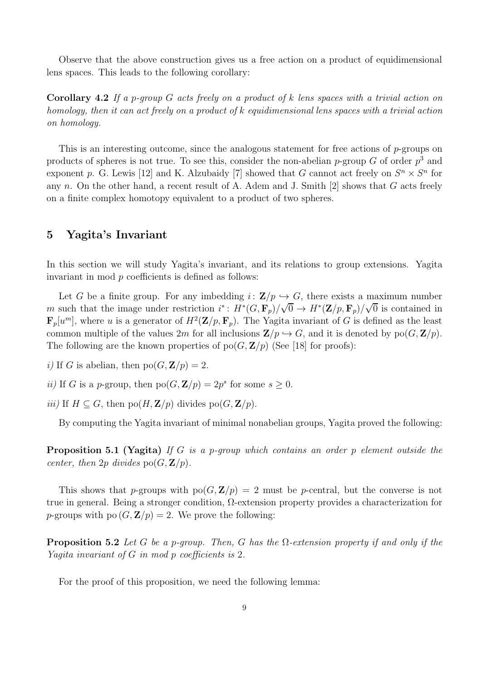Observe that the above construction gives us a free action on a product of equidimensional lens spaces. This leads to the following corollary:

**Corollary 4.2** If a p-group  $G$  acts freely on a product of k lens spaces with a trivial action on homology, then it can act freely on a product of k equidimensional lens spaces with a trivial action on homology.

This is an interesting outcome, since the analogous statement for free actions of  $p$ -groups on products of spheres is not true. To see this, consider the non-abelian p-group G of order  $p^3$  and exponent p. G. Lewis [12] and K. Alzubaidy [7] showed that G cannot act freely on  $S<sup>n</sup> \times S<sup>n</sup>$  for any n. On the other hand, a recent result of A. Adem and J. Smith  $[2]$  shows that G acts freely on a finite complex homotopy equivalent to a product of two spheres.

## 5 Yagita's Invariant

In this section we will study Yagita's invariant, and its relations to group extensions. Yagita invariant in mod  $p$  coefficients is defined as follows:

Let G be a finite group. For any imbedding  $i: \mathbf{Z}/p \hookrightarrow G$ , there exists a maximum number m such that the image under restriction  $i^*: H^*(G, \mathbf{F}_p)/\sqrt{0} \to H^*(\mathbf{Z}/p, \mathbf{F}_p)/\sqrt{0}$  is contained in  $\mathbf{F}_p[u^m]$ , where u is a generator of  $H^2(\mathbf{Z}/p,\mathbf{F}_p)$ . The Yagita invariant of G is defined as the least common multiple of the values 2m for all inclusions  $\mathbf{Z}/p \hookrightarrow G$ , and it is denoted by po $(G, \mathbf{Z}/p)$ . The following are the known properties of  $p_0(G, \mathbf{Z}/p)$  (See [18] for proofs):

i) If G is abelian, then  $po(G, \mathbf{Z}/p) = 2$ .

- *ii*) If G is a p-group, then  $po(G, \mathbf{Z}/p) = 2p^s$  for some  $s \geq 0$ .
- *iii*) If  $H \subseteq G$ , then po $(H, \mathbf{Z}/p)$  divides po $(G, \mathbf{Z}/p)$ .

By computing the Yagita invariant of minimal nonabelian groups, Yagita proved the following:

**Proposition 5.1 (Yagita)** If G is a p-group which contains an order p element outside the center, then  $2p$  divides  $\text{po}(G, \mathbf{Z}/p)$ .

This shows that p-groups with  $po(G, \mathbf{Z}/p) = 2$  must be p-central, but the converse is not true in general. Being a stronger condition, Ω-extension property provides a characterization for *p*-groups with po  $(G, \mathbf{Z}/p) = 2$ . We prove the following:

**Proposition 5.2** Let G be a p-group. Then, G has the  $\Omega$ -extension property if and only if the Yagita invariant of G in mod p coefficients is 2.

For the proof of this proposition, we need the following lemma: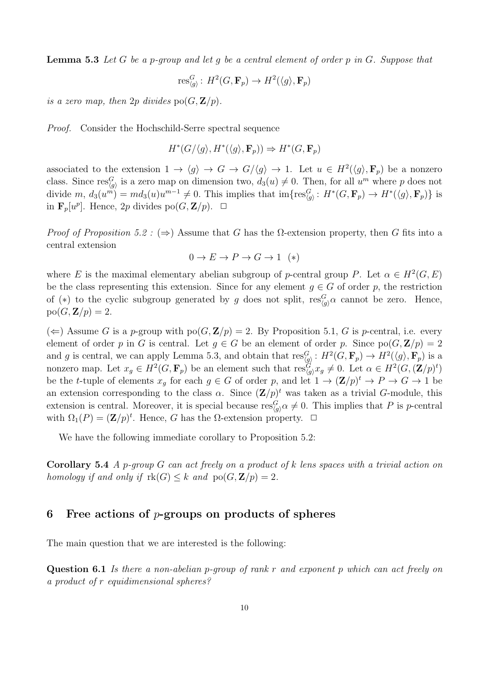**Lemma 5.3** Let G be a p-group and let  $q$  be a central element of order  $p$  in  $G$ . Suppose that

$$
\operatorname{res}_{\langle g \rangle}^G: H^2(G, \mathbf{F}_p) \to H^2(\langle g \rangle, \mathbf{F}_p)
$$

is a zero map, then 2p divides  $\text{po}(G, \mathbf{Z}/p)$ .

Proof. Consider the Hochschild-Serre spectral sequence

$$
H^*(G/\langle g \rangle, H^*(\langle g \rangle, \mathbf{F}_p)) \Rightarrow H^*(G, \mathbf{F}_p)
$$

associated to the extension  $1 \to \langle g \rangle \to G \to G/\langle g \rangle \to 1$ . Let  $u \in H^2(\langle g \rangle, \mathbf{F}_p)$  be a nonzero class. Since  $res_{\langle g \rangle}^G$  is a zero map on dimension two,  $d_3(u) \neq 0$ . Then, for all  $u^m$  where p does not divide  $m, d_3(u^m) = md_3(u)u^{m-1} \neq 0$ . This implies that  $\text{im}\{\text{res}_{\langle g \rangle}^G: H^*(G, \mathbf{F}_p) \to H^*(\langle g \rangle, \mathbf{F}_p)\}\$ is in  $\mathbf{F}_p[u^p]$ . Hence, 2p divides po $(G, \mathbf{Z}/p)$ .  $\Box$ 

*Proof of Proposition 5.2 :* ( $\Rightarrow$ ) Assume that G has the  $\Omega$ -extension property, then G fits into a central extension

$$
0 \to E \to P \to G \to 1
$$
 (\*)

where E is the maximal elementary abelian subgroup of p-central group P. Let  $\alpha \in H^2(G, E)$ be the class representing this extension. Since for any element  $g \in G$  of order p, the restriction of (\*) to the cyclic subgroup generated by g does not split,  $res_{g}^{G} \alpha$  cannot be zero. Hence,  $po(G, \mathbf{Z}/p) = 2.$ 

(←) Assume G is a p-group with  $po(G, \mathbf{Z}/p) = 2$ . By Proposition 5.1, G is p-central, i.e. every element of order p in G is central. Let  $g \in G$  be an element of order p. Since  $\text{po}(G, \mathbf{Z}/p) = 2$ and g is central, we can apply Lemma 5.3, and obtain that  $\text{res}_{\langle g \rangle}^G : H^2(G, \mathbf{F}_p) \to H^2(\langle g \rangle, \mathbf{F}_p)$  is a nonzero map. Let  $x_g \in H^2(G, \mathbf{F}_p)$  be an element such that  $res_{\langle g \rangle}^G x_g \neq 0$ . Let  $\alpha \in H^2(G, (\mathbf{Z}/p)^t)$ be the *t*-tuple of elements  $x_g$  for each  $g \in G$  of order p, and let  $1 \to (\mathbf{Z}/p)^t \to P \to G \to 1$  be an extension corresponding to the class  $\alpha$ . Since  $(\mathbf{Z}/p)^t$  was taken as a trivial G-module, this extension is central. Moreover, it is special because  $res_{\langle g \rangle}^G \alpha \neq 0$ . This implies that P is p-central with  $\Omega_1(P) = (\mathbf{Z}/p)^t$ . Hence, G has the  $\Omega$ -extension property.  $\Box$ 

We have the following immediate corollary to Proposition 5.2:

**Corollary 5.4** A p-group G can act freely on a product of k lens spaces with a trivial action on homology if and only if  $rk(G) \leq k$  and  $po(G, \mathbf{Z}/p) = 2$ .

## 6 Free actions of  $p$ -groups on products of spheres

The main question that we are interested is the following:

**Question 6.1** Is there a non-abelian p-group of rank r and exponent p which can act freely on a product of r equidimensional spheres?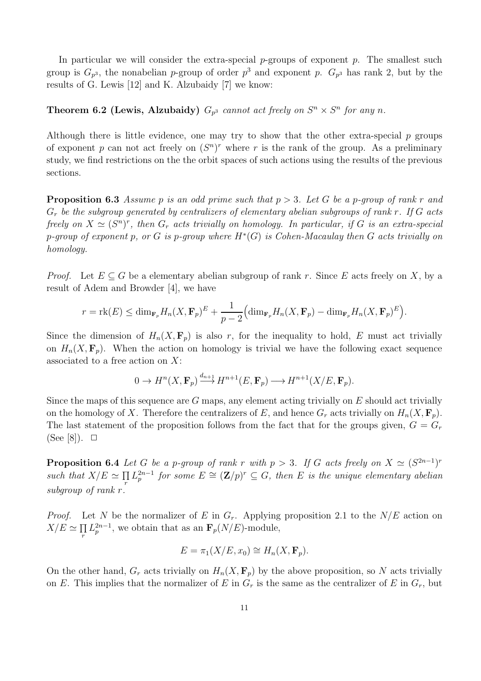In particular we will consider the extra-special  $p$ -groups of exponent  $p$ . The smallest such group is  $G_{p^3}$ , the nonabelian p-group of order  $p^3$  and exponent p.  $G_{p^3}$  has rank 2, but by the results of G. Lewis [12] and K. Alzubaidy [7] we know:

# **Theorem 6.2 (Lewis, Alzubaidy)**  $G_{p^3}$  cannot act freely on  $S^n \times S^n$  for any n.

Although there is little evidence, one may try to show that the other extra-special  $p$  groups of exponent p can not act freely on  $(S<sup>n</sup>)<sup>r</sup>$  where r is the rank of the group. As a preliminary study, we find restrictions on the the orbit spaces of such actions using the results of the previous sections.

**Proposition 6.3** Assume p is an odd prime such that  $p > 3$ . Let G be a p-group of rank r and  $G_r$  be the subgroup generated by centralizers of elementary abelian subgroups of rank  $r$ . If  $G$  acts freely on  $X \simeq (S^n)^r$ , then  $G_r$  acts trivially on homology. In particular, if G is an extra-special p-group of exponent p, or G is p-group where  $H^*(G)$  is Cohen-Macaulay then G acts trivially on homology.

*Proof.* Let  $E \subseteq G$  be a elementary abelian subgroup of rank r. Since E acts freely on X, by a result of Adem and Browder [4], we have

$$
r = \mathrm{rk}(E) \le \mathrm{dim}_{\mathbf{F}_p} H_n(X, \mathbf{F}_p)^E + \frac{1}{p-2} \Big( \mathrm{dim}_{\mathbf{F}_p} H_n(X, \mathbf{F}_p) - \mathrm{dim}_{\mathbf{F}_p} H_n(X, \mathbf{F}_p)^E \Big).
$$

Since the dimension of  $H_n(X, \mathbf{F}_p)$  is also r, for the inequality to hold, E must act trivially on  $H_n(X, \mathbf{F}_p)$ . When the action on homology is trivial we have the following exact sequence associated to a free action on  $X$ :

$$
0 \to H^n(X, \mathbf{F}_p) \xrightarrow{d_{n+1}} H^{n+1}(E, \mathbf{F}_p) \longrightarrow H^{n+1}(X/E, \mathbf{F}_p).
$$

Since the maps of this sequence are  $G$  maps, any element acting trivially on  $E$  should act trivially on the homology of X. Therefore the centralizers of E, and hence  $G_r$  acts trivially on  $H_n(X, \mathbf{F}_p)$ . The last statement of the proposition follows from the fact that for the groups given,  $G = G_r$  $(See [8])$ .  $\Box$ 

**Proposition 6.4** Let G be a p-group of rank r with  $p > 3$ . If G acts freely on  $X \simeq (S^{2n-1})^r$ such that  $X/E \simeq \prod_r$  $\prod_{r} L_{p}^{2n-1}$  for some  $E \cong (\mathbf{Z}/p)^{r} \subseteq G$ , then E is the unique elementary abelian subgroup of rank r.

*Proof.* Let N be the normalizer of E in  $G_r$ . Applying proposition 2.1 to the  $N/E$  action on  $X/E \simeq \prod_r$  $\prod_{r} L_p^{2n-1}$ , we obtain that as an  $\mathbf{F}_p(N/E)$ -module,

$$
E = \pi_1(X/E, x_0) \cong H_n(X, \mathbf{F}_p).
$$

On the other hand,  $G_r$  acts trivially on  $H_n(X, \mathbf{F}_p)$  by the above proposition, so N acts trivially on E. This implies that the normalizer of E in  $G_r$  is the same as the centralizer of E in  $G_r$ , but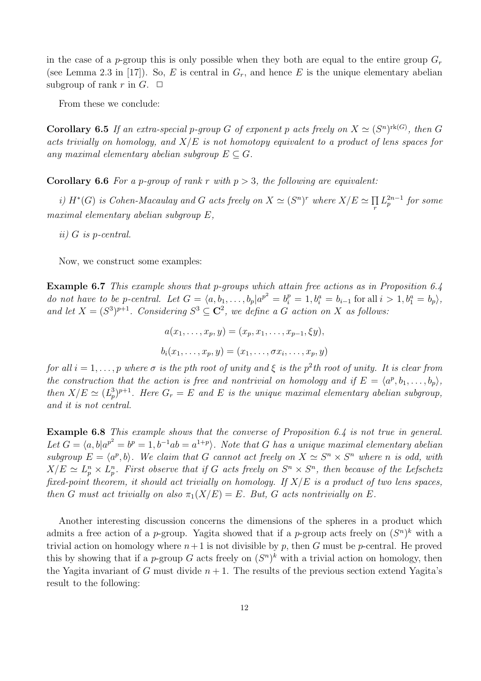in the case of a p-group this is only possible when they both are equal to the entire group  $G_r$ (see Lemma 2.3 in [17]). So, E is central in  $G_r$ , and hence E is the unique elementary abelian subgroup of rank r in  $G$ .  $\Box$ 

From these we conclude:

**Corollary 6.5** If an extra-special p-group G of exponent p acts freely on  $X \simeq (S^n)^{\text{rk}(G)}$ , then G acts trivially on homology, and  $X/E$  is not homotopy equivalent to a product of lens spaces for any maximal elementary abelian subgroup  $E \subseteq G$ .

**Corollary 6.6** For a p-group of rank r with  $p > 3$ , the following are equivalent:

i)  $H^*(G)$  is Cohen-Macaulay and G acts freely on  $X \simeq (S^n)^r$  where  $X/E \simeq \prod_r$  $\prod\limits_{r}L_{p}^{2n-1}$  for some maximal elementary abelian subgroup E,

ii) G is p-central.

Now, we construct some examples:

Example 6.7 This example shows that p-groups which attain free actions as in Proposition 6.4 do not have to be p-central. Let  $G = \langle a, b_1, \ldots, b_p | a^{p^2} = b_i^p = 1, b_i^a = b_{i-1}$  for all  $i > 1, b_1^a = b_p \rangle$ , and let  $X = (S^3)^{p+1}$ . Considering  $S^3 \subseteq \mathbb{C}^2$ , we define a G action on X as follows:

$$
a(x_1, ..., x_p, y) = (x_p, x_1, ..., x_{p-1}, \xi y),
$$
  

$$
b_i(x_1, ..., x_p, y) = (x_1, ..., \sigma x_i, ..., x_p, y)
$$

for all  $i = 1, \ldots, p$  where  $\sigma$  is the pth root of unity and  $\xi$  is the  $p^2$ th root of unity. It is clear from the construction that the action is free and nontrivial on homology and if  $E = \langle a^p, b_1, \ldots, b_p \rangle$ , then  $X/E \simeq (L_p^3)^{p+1}$ . Here  $G_r = E$  and E is the unique maximal elementary abelian subgroup, and it is not central.

Example 6.8 This example shows that the converse of Proposition 6.4 is not true in general. Let  $G = \langle a, b | a^{p^2} = b^p = 1, b^{-1}ab = a^{1+p} \rangle$ . Note that G has a unique maximal elementary abelian subgroup  $E = \langle a^p, b \rangle$ . We claim that G cannot act freely on  $X \simeq S^n \times S^n$  where n is odd, with  $X/E \simeq L_p^n \times L_p^n$ . First observe that if G acts freely on  $S^n \times S^n$ , then because of the Lefschetz fixed-point theorem, it should act trivially on homology. If  $X/E$  is a product of two lens spaces, then G must act trivially on also  $\pi_1(X/E) = E$ . But, G acts nontrivially on E.

Another interesting discussion concerns the dimensions of the spheres in a product which admits a free action of a *p*-group. Yagita showed that if a *p*-group acts freely on  $(S^n)^k$  with a trivial action on homology where  $n+1$  is not divisible by p, then G must be p-central. He proved this by showing that if a *p*-group G acts freely on  $(S<sup>n</sup>)<sup>k</sup>$  with a trivial action on homology, then the Yagita invariant of G must divide  $n + 1$ . The results of the previous section extend Yagita's result to the following: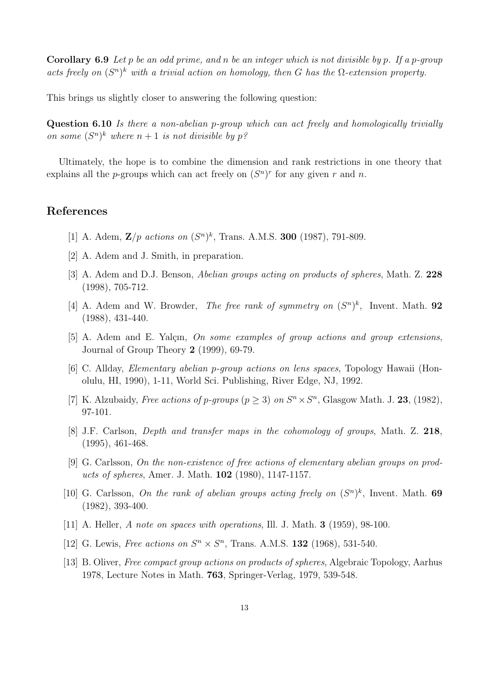**Corollary 6.9** Let p be an odd prime, and n be an integer which is not divisible by p. If a p-group acts freely on  $(S^n)^k$  with a trivial action on homology, then G has the  $\Omega$ -extension property.

This brings us slightly closer to answering the following question:

Question 6.10 Is there a non-abelian p-group which can act freely and homologically trivially on some  $(S^n)^k$  where  $n+1$  is not divisible by  $p^q$ .

Ultimately, the hope is to combine the dimension and rank restrictions in one theory that explains all the *p*-groups which can act freely on  $(S<sup>n</sup>)<sup>r</sup>$  for any given r and n.

## References

- [1] A. Adem,  $\mathbf{Z}/p$  actions on  $(S^n)^k$ , Trans. A.M.S. **300** (1987), 791-809.
- [2] A. Adem and J. Smith, in preparation.
- [3] A. Adem and D.J. Benson, Abelian groups acting on products of spheres, Math. Z. 228 (1998), 705-712.
- [4] A. Adem and W. Browder, The free rank of symmetry on  $(S^n)^k$ , Invent. Math. 92 (1988), 431-440.
- $[5]$  A. Adem and E. Yalçın, On some examples of group actions and group extensions, Journal of Group Theory 2 (1999), 69-79.
- [6] C. Allday, Elementary abelian p-group actions on lens spaces, Topology Hawaii (Honolulu, HI, 1990), 1-11, World Sci. Publishing, River Edge, NJ, 1992.
- [7] K. Alzubaidy, *Free actions of p-groups* ( $p \ge 3$ ) on  $S<sup>n</sup> \times S<sup>n</sup>$ , Glasgow Math. J. **23**, (1982), 97-101.
- [8] J.F. Carlson, Depth and transfer maps in the cohomology of groups, Math. Z. 218, (1995), 461-468.
- [9] G. Carlsson, On the non-existence of free actions of elementary abelian groups on products of spheres, Amer. J. Math. 102 (1980), 1147-1157.
- [10] G. Carlsson, On the rank of abelian groups acting freely on  $(S^n)^k$ , Invent. Math. 69 (1982), 393-400.
- [11] A. Heller, A note on spaces with operations, Ill. J. Math. **3** (1959), 98-100.
- [12] G. Lewis, *Free actions on*  $S^n \times S^n$ , Trans. A.M.S. **132** (1968), 531-540.
- [13] B. Oliver, Free compact group actions on products of spheres, Algebraic Topology, Aarhus 1978, Lecture Notes in Math. 763, Springer-Verlag, 1979, 539-548.